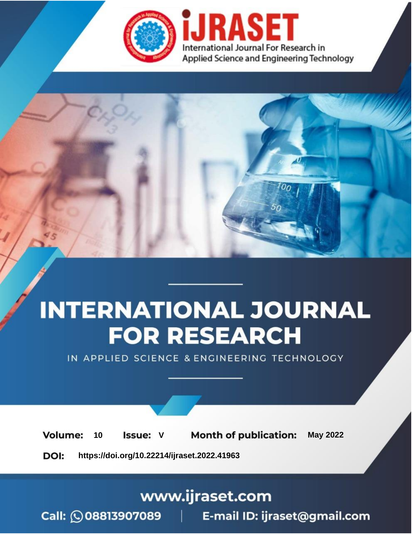

# **INTERNATIONAL JOURNAL FOR RESEARCH**

IN APPLIED SCIENCE & ENGINEERING TECHNOLOGY

Volume: **Month of publication: May 2022** 10 **Issue: V** 

DOI: https://doi.org/10.22214/ijraset.2022.41963

www.ijraset.com

Call: 008813907089 | E-mail ID: ijraset@gmail.com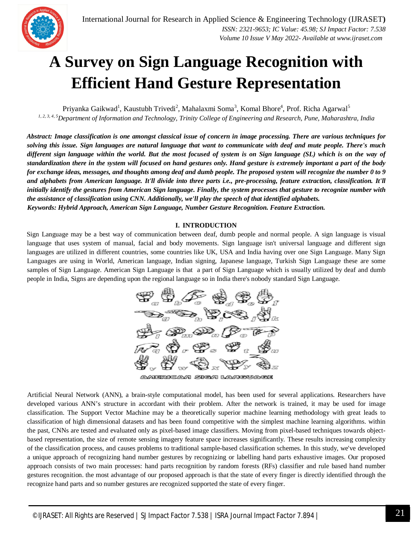

## **A Survey on Sign Language Recognition with Efficient Hand Gesture Representation**

Priyanka Gaikwad<sup>1</sup>, Kaustubh Trivedi<sup>2</sup>, Mahalaxmi Soma<sup>3</sup>, Komal Bhore<sup>4</sup>, Prof. Richa Agarwal<sup>5</sup> *1, 2, 3, 4, 5Department of Information and Technology, Trinity College of Engineering and Research, Pune, Maharashtra, India*

*Abstract: Image classification is one amongst classical issue of concern in image processing. There are various techniques for solving this issue. Sign languages are natural language that want to communicate with deaf and mute people. There's much different sign language within the world. But the most focused of system is on Sign language (SL) which is on the way of standardization there in the system will focused on hand gestures only. Hand gesture is extremely important a part of the body for exchange ideas, messages, and thoughts among deaf and dumb people. The proposed system will recognize the number 0 to 9 and alphabets from American language. It'll divide into three parts i.e., pre-processing, feature extraction, classification. It'll initially identify the gestures from American Sign language. Finally, the system processes that gesture to recognize number with the assistance of classification using CNN. Additionally, we'll play the speech of that identified alphabets. Keywords: Hybrid Approach, American Sign Language, Number Gesture Recognition. Feature Extraction.*

## **I. INTRODUCTION**

Sign Language may be a best way of communication between deaf, dumb people and normal people. A sign language is visual language that uses system of manual, facial and body movements. Sign language isn't universal language and different sign languages are utilized in different countries, some countries like UK, USA and India having over one Sign Language. Many Sign Languages are using in World, American language, Indian signing, Japanese language, Turkish Sign Language these are some samples of Sign Language. American Sign Language is that a part of Sign Language which is usually utilized by deaf and dumb people in India, Signs are depending upon the regional language so in India there's nobody standard Sign Language.



AMERICAN SIGN LANGUAGE

Artificial Neural Network (ANN), a brain-style computational model, has been used for several applications. Researchers have developed various ANN's structure in accordant with their problem. After the network is trained, it may be used for image classification. The Support Vector Machine may be a theoretically superior machine learning methodology with great leads to classification of high dimensional datasets and has been found competitive with the simplest machine learning algorithms. within the past, CNNs are tested and evaluated only as pixel-based image classifiers. Moving from pixel-based techniques towards objectbased representation, the size of remote sensing imagery feature space increases significantly. These results increasing complexity of the classification process, and causes problems to traditional sample-based classification schemes. In this study, we've developed a unique approach of recognizing hand number gestures by recognizing or labelling hand parts exhaustive images. Our proposed approach consists of two main processes: hand parts recognition by random forests (RFs) classifier and rule based hand number gestures recognition. the most advantage of our proposed approach is that the state of every finger is directly identified through the recognize hand parts and so number gestures are recognized supported the state of every finger.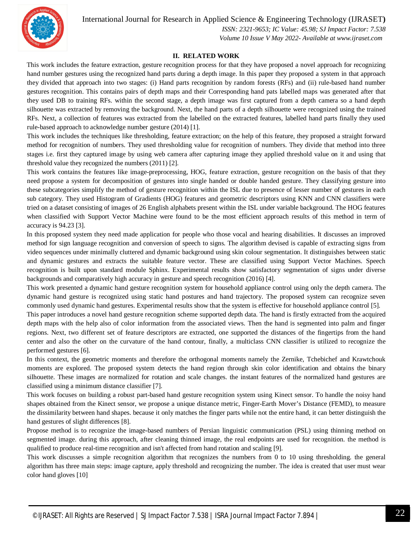International Journal for Research in Applied Science & Engineering Technology (IJRASET**)**



 *ISSN: 2321-9653; IC Value: 45.98; SJ Impact Factor: 7.538 Volume 10 Issue V May 2022- Available at www.ijraset.com*

### **II. RELATED WORK**

This work includes the feature extraction, gesture recognition process for that they have proposed a novel approach for recognizing hand number gestures using the recognized hand parts during a depth image. In this paper they proposed a system in that approach they divided that approach into two stages: (i) Hand parts recognition by random forests (RFs) and (ii) rule-based hand number gestures recognition. This contains pairs of depth maps and their Corresponding hand pats labelled maps was generated after that they used DB to training RFs. within the second stage, a depth image was first captured from a depth camera so a hand depth silhouette was extracted by removing the background. Next, the hand parts of a depth silhouette were recognized using the trained RFs. Next, a collection of features was extracted from the labelled on the extracted features, labelled hand parts finally they used rule-based approach to acknowledge number gesture (2014) [1].

This work includes the techniques like thresholding, feature extraction; on the help of this feature, they proposed a straight forward method for recognition of numbers. They used thresholding value for recognition of numbers. They divide that method into three stages i.e. first they captured image by using web camera after capturing image they applied threshold value on it and using that threshold value they recognized the numbers (2011) [2].

This work contains the features like image-preprocessing, HOG, feature extraction, gesture recognition on the basis of that they need propose a system for decomposition of gestures into single handed or double handed gesture. They classifying gesture into these subcategories simplify the method of gesture recognition within the ISL due to presence of lesser number of gestures in each sub category. They used Histogram of Gradients (HOG) features and geometric descriptors using KNN and CNN classifiers were tried on a dataset consisting of images of 26 English alphabets present within the ISL under variable background. The HOG features when classified with Support Vector Machine were found to be the most efficient approach results of this method in term of accuracy is 94.23 [3].

In this proposed system they need made application for people who those vocal and hearing disabilities. It discusses an improved method for sign language recognition and conversion of speech to signs. The algorithm devised is capable of extracting signs from video sequences under minimally cluttered and dynamic background using skin colour segmentation. It distinguishes between static and dynamic gestures and extracts the suitable feature vector. These are classified using Support Vector Machines. Speech recognition is built upon standard module Sphinx. Experimental results show satisfactory segmentation of signs under diverse backgrounds and comparatively high accuracy in gesture and speech recognition (2016) [4].

This work presented a dynamic hand gesture recognition system for household appliance control using only the depth camera. The dynamic hand gesture is recognized using static hand postures and hand trajectory. The proposed system can recognize seven commonly used dynamic hand gestures. Experimental results show that the system is effective for household appliance control [5].

This paper introduces a novel hand gesture recognition scheme supported depth data. The hand is firstly extracted from the acquired depth maps with the help also of color information from the associated views. Then the hand is segmented into palm and finger regions. Next, two different set of feature descriptors are extracted, one supported the distances of the fingertips from the hand center and also the other on the curvature of the hand contour, finally, a multiclass CNN classifier is utilized to recognize the performed gestures [6].

In this context, the geometric moments and therefore the orthogonal moments namely the Zernike, Tchebichef and Krawtchouk moments are explored. The proposed system detects the hand region through skin color identification and obtains the binary silhouette. These images are normalized for rotation and scale changes. the instant features of the normalized hand gestures are classified using a minimum distance classifier [7].

This work focuses on building a robust part-based hand gesture recognition system using Kinect sensor. To handle the noisy hand shapes obtained from the Kinect sensor, we propose a unique distance metric, Finger-Earth Mover's Distance (FEMD), to measure the dissimilarity between hand shapes. because it only matches the finger parts while not the entire hand, it can better distinguish the hand gestures of slight differences [8].

Propose method is to recognize the image-based numbers of Persian linguistic communication (PSL) using thinning method on segmented image. during this approach, after cleaning thinned image, the real endpoints are used for recognition. the method is qualified to produce real-time recognition and isn't affected from hand rotation and scaling [9].

This work discusses a simple recognition algorithm that recognizes the numbers from 0 to 10 using thresholding. the general algorithm has three main steps: image capture, apply threshold and recognizing the number. The idea is created that user must wear color hand gloves [10]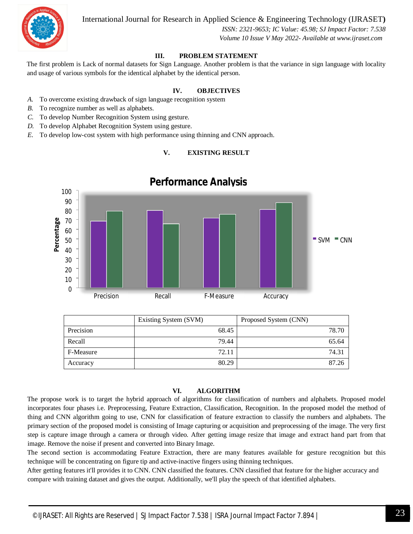

International Journal for Research in Applied Science & Engineering Technology (IJRASET**)**

 *ISSN: 2321-9653; IC Value: 45.98; SJ Impact Factor: 7.538 Volume 10 Issue V May 2022- Available at www.ijraset.com*

## **III. PROBLEM STATEMENT**

The first problem is Lack of normal datasets for Sign Language. Another problem is that the variance in sign language with locality and usage of various symbols for the identical alphabet by the identical person.

## **IV. OBJECTIVES**

- *A.* To overcome existing drawback of sign language recognition system
- *B.* To recognize number as well as alphabets.
- *C.* To develop Number Recognition System using gesture.
- *D.* To develop Alphabet Recognition System using gesture.
- *E.* To develop low-cost system with high performance using thinning and CNN approach.

### **V. EXISTING RESULT**



## **Performance Analysis**

|           | Existing System (SVM) | Proposed System (CNN) |
|-----------|-----------------------|-----------------------|
| Precision | 68.45                 | 78.70                 |
| Recall    | 79.44                 | 65.64                 |
| F-Measure | 72.11                 | 74.31                 |
| Accuracy  | 80.29                 | 87.26                 |

## **VI. ALGORITHM**

The propose work is to target the hybrid approach of algorithms for classification of numbers and alphabets. Proposed model incorporates four phases i.e. Preprocessing, Feature Extraction, Classification, Recognition. In the proposed model the method of thing and CNN algorithm going to use, CNN for classification of feature extraction to classify the numbers and alphabets. The primary section of the proposed model is consisting of Image capturing or acquisition and preprocessing of the image. The very first step is capture image through a camera or through video. After getting image resize that image and extract hand part from that image. Remove the noise if present and converted into Binary Image.

The second section is accommodating Feature Extraction, there are many features available for gesture recognition but this technique will be concentrating on figure tip and active-inactive fingers using thinning techniques.

After getting features it'll provides it to CNN. CNN classified the features. CNN classified that feature for the higher accuracy and compare with training dataset and gives the output. Additionally, we'll play the speech of that identified alphabets.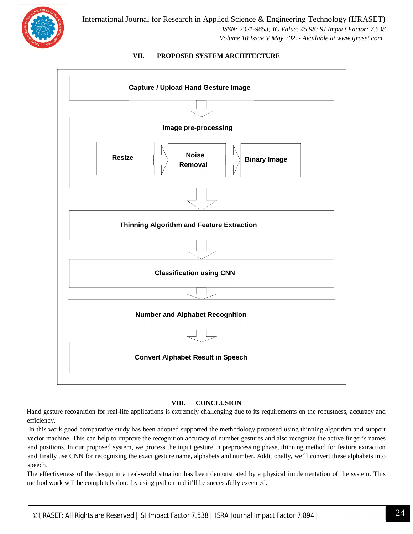

## **VII. PROPOSED SYSTEM ARCHITECTURE**



## **VIII. CONCLUSION**

Hand gesture recognition for real-life applications is extremely challenging due to its requirements on the robustness, accuracy and efficiency.

In this work good comparative study has been adopted supported the methodology proposed using thinning algorithm and support vector machine. This can help to improve the recognition accuracy of number gestures and also recognize the active finger's names and positions. In our proposed system, we process the input gesture in preprocessing phase, thinning method for feature extraction and finally use CNN for recognizing the exact gesture name, alphabets and number. Additionally, we'll convert these alphabets into speech.

The effectiveness of the design in a real-world situation has been demonstrated by a physical implementation of the system. This method work will be completely done by using python and it'll be successfully executed.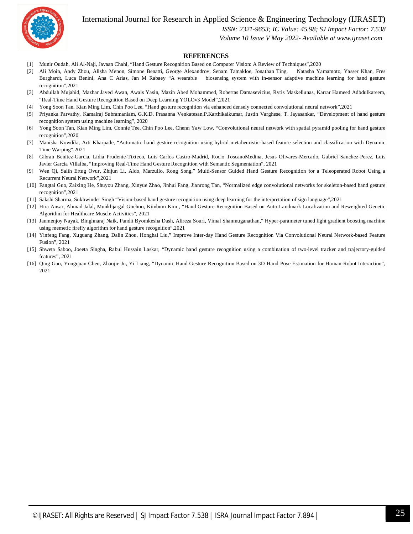International Journal for Research in Applied Science & Engineering Technology (IJRASET**)**



 *ISSN: 2321-9653; IC Value: 45.98; SJ Impact Factor: 7.538*

 *Volume 10 Issue V May 2022- Available at www.ijraset.com*

#### **REFERENCES**

- [1] Munir Oudah, Ali Al-Naji, Javaan Chahl, "Hand Gesture Recognition Based on Computer Vision: A Review of Techniques",2020
- [2] Ali Moin, Andy Zhou, Alisha Menon, Simone Benatti, George Alexandrov, Senam Tamakloe, Jonathan Ting, Natasha Yamamoto, Yasser Khan, Fres Burghardt, Luca Benini, Ana C Arias, Jan M Rabaey "A wearable biosensing system with in-sensor adaptive machine learning for hand gesture recognition",2021
- [3] Abdullah Mujahid, Mazhar Javed Awan, Awais Yasin, Mazin Abed Mohammed, Robertas Damasevicius, Rytis Maskeliunas, Karrar Hameed Adbdulkareem, "Real-Time Hand Gesture Recognition Based on Deep Learning YOLOv3 Model",2021
- [4] Yong Soon Tan, Kian Ming Lim, Chin Poo Lee, "Hand gesture recognition via enhanced densely connected convolutional neural network",2021
- [5] Priyanka Parvathy, Kamalraj Subramaniam, G.K.D. Prasanna Venkatesan,P.Karthikaikumar, Justin Varghese, T. Jayasankar, "Development of hand gesture recognition system using machine learning", 2020
- [6] Yong Soon Tan, Kian Ming Lim, Connie Tee, Chin Poo Lee, Chenn Yaw Low, "Convolutional neural network with spatial pyramid pooling for hand gesture recognition",2020
- [7] Manisha Kowdiki, Arti Kharpade, "Automatic hand gesture recognition using hybrid metaheuristic-based feature selection and classification with Dynamic Time Warping",2021
- [8] Gibran Benitez-Garcia, Lidia Prudente-Tixteco, Luis Carlos Castro-Madrid, Rocio ToscanoMedina, Jesus Olivares-Mercado, Gabriel Sanchez-Perez, Luis Javier Garcia Villalba, "Improving Real-Time Hand Gesture Recognition with Semantic Segmentation", 2021
- [9] Wen Qi, Salih Ertug Ovur, Zhijun Li, Aldo, Marzullo, Rong Song," Multi-Sensor Guided Hand Gesture Recognition for a Teleoperated Robot Using a Recurrent Neural Network",2021
- [10] Fangtai Guo, Zaixing He, Shuyou Zhang, Xinyue Zhao, Jinhui Fang, Jianrong Tan, "Normalized edge convolutional networks for skeleton-based hand gesture recognition",2021
- [11] Sakshi Sharma, Sukhwinder Singh "Vision-based hand gesture recognition using deep learning for the interpretation of sign language",2021
- [12] Hira Ansar, Ahmad Jalal, Munkhjargal Gochoo, Kimbum Kim , "Hand Gesture Recognition Based on Auto-Landmark Localization and Reweighted Genetic Algorithm for Healthcare Muscle Activities", 2021
- [13] Janmenjoy Nayak, Binghnaraj Naik, Pandit Byomkesha Dash, Alireza Souri, Vimal Shanmuganathan," Hyper-parameter tuned light gradient boosting machine using memetic firefly algorithm for hand gesture recognition",2021
- [14] Yinfeng Fang, Xuguang Zhang, Dalin Zhou, Honghai Liu," Improve Inter-day Hand Gesture Recognition Via Convolutional Neural Network-based Feature Fusion", 2021
- [15] Shweta Saboo, Joeeta Singha, Rabul Hussain Laskar, "Dynamic hand gesture recognition using a combination of two-level tracker and trajectory-guided features", 2021
- [16] Qing Gao, Yongquan Chen, Zhaojie Ju, Yi Liang, "Dynamic Hand Gesture Recognition Based on 3D Hand Pose Estimation for Human-Robot Interaction", 2021